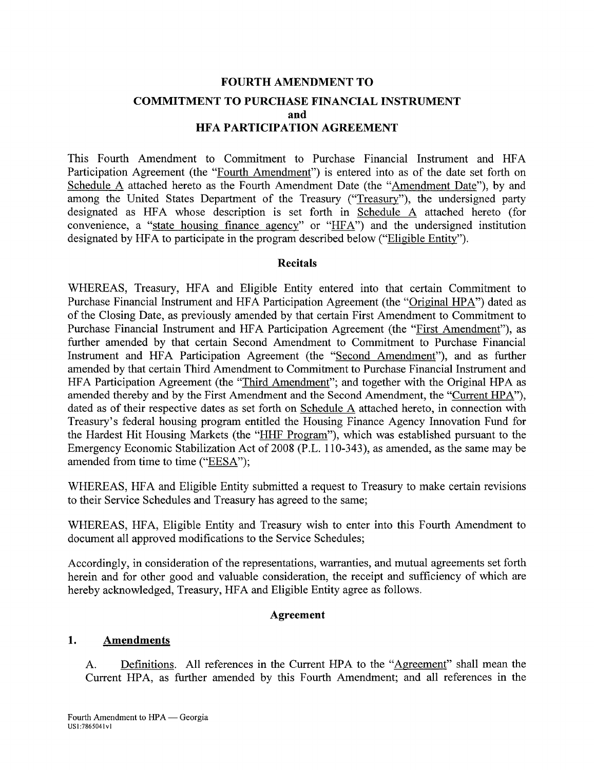# **FOURTH AMENDMENT TO COMMITMENT TO PURCHASE FINANCIAL INSTRUMENT and HFA PARTICIPATION AGREEMENT**

This Fourth Amendment to Commitment to Purchase Financial Instrument and HFA Participation Agreement (the "Fourth Amendment") is entered into as of the date set forth on Schedule A attached hereto as the Fourth Amendment Date (the "Amendment Date"), by and among the United States Department of the Treasury ("Treasury"), the undersigned party designated as HFA whose description is set forth in Schedule A attached hereto (for convenience, a "state housing finance agency" or " $HFA$ ") and the undersigned institution designated by HFA to participate in the program described below ("Eligible Entity").

### **Recitals**

WHEREAS, Treasury, HFA and Eligible Entity entered into that certain Commitment to Purchase Financial Instrument and HFA Participation Agreement (the "Original HPA") dated as of the Closing Date, as previously amended by that certain First Amendment to Commitment to Purchase Financial Instrument and HFA Participation Agreement (the "First Amendment"), as further amended by that certain Second Amendment to Commitment to Purchase Financial Instrument and HFA Participation Agreement (the "Second Amendment"), and as further amended by that certain Third Amendment to Commitment to Purchase Financial Instrument and HFA Participation Agreement (the "Third Amendment"; and together with the Original HPA as amended thereby and by the First Amendment and the Second Amendment, the "Current HPA"), dated as of their respective dates as set forth on Schedule A attached hereto, in connection with Treasury's federal housing program entitled the Housing Finance Agency Innovation Fund for the Hardest Hit Housing Markets (the "HHF Program"), which was established pursuant to the Emergency Economic Stabilization Act of 2008 (P.L. 110-343), as amended, as the same may be amended from time to time ("EESA");

WHEREAS, HFA and Eligible Entity submitted a request to Treasury to make certain revisions to their Service Schedules and Treasury has agreed to the same;

WHEREAS, HFA, Eligible Entity and Treasury wish to enter into this Fourth Amendment to document all approved modifications to the Service Schedules;

Accordingly, in consideration of the representations, warranties, and mutual agreements set forth herein and for other good and valuable consideration, the receipt and sufficiency of which are hereby acknowledged, Treasury, HFA and Eligible Entity agree as follows.

### **Agreement**

### **1. Amendments**

A. Definitions. All references in the Current HPA to the "Agreement" shall mean the Current HPA, as further amended by this Fourth Amendment; and all references in the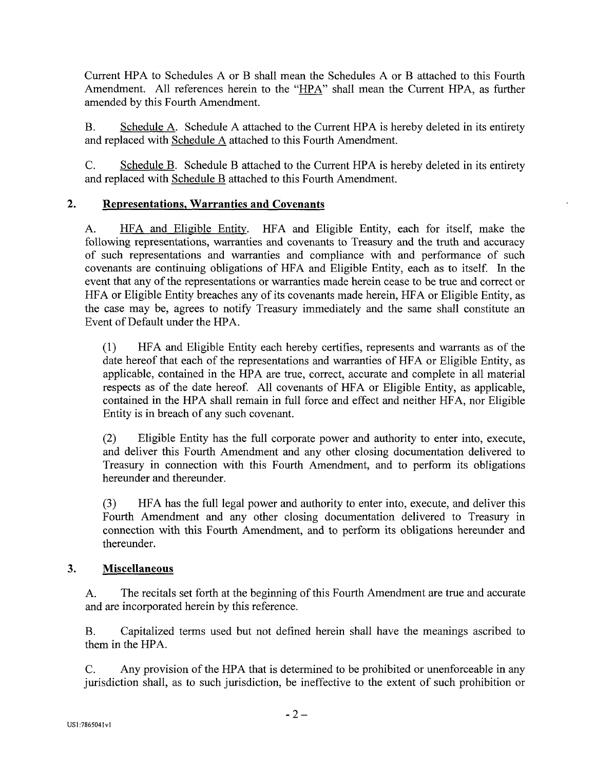Current HPA to Schedules A or B shall mean the Schedules A or B attached to this Fourth Amendment. All references herein to the "HPA" shall mean the Current HPA, as further amended by this Fourth Amendment.

B. Schedule A. Schedule A attached to the Current HPA is hereby deleted in its entirety and replaced with Schedule A attached to this Fourth Amendment.

C. Schedule B. Schedule B attached to the Current HPA is hereby deleted in its entirety and replaced with Schedule B attached to this Fourth Amendment.

## **2. Representations, Warranties and Covenants**

A. HFA and Eligible Entity. HFA and Eligible Entity, each for itself, make the following representations, warranties and covenants to Treasury and the truth and accuracy of such representations and warranties and compliance with and performance of such covenants are continuing obligations of HFA and Eligible Entity, each as to itself. In the event that any of the representations or warranties made herein cease to be true and correct or HFA or Eligible Entity breaches any of its covenants made herein, HFA or Eligible Entity, as the case may be, agrees to notify Treasury immediately and the same shall constitute an Event of Default under the HPA.

(1) HFA and Eligible Entity each hereby certifies, represents and warrants as of the date hereof that each of the representations and warranties of HFA or Eligible Entity, as applicable, contained in the HPA are true, correct, accurate and complete in all material respects as of the date hereof. All covenants of HFA or Eligible Entity, as applicable, contained in the HPA shall remain in full force and effect and neither HFA, nor Eligible Entity is in breach of any such covenant.

(2) Eligible Entity has the full corporate power and authority to enter into, execute, and deliver this Fourth Amendment and any other closing documentation delivered to Treasury in connection with this Fourth Amendment, and to perform its obligations hereunder and thereunder.

(3) HFA has the full legal power and authority to enter into, execute, and deliver this Fourth Amendment and any other closing documentation delivered to Treasury in connection with this Fourth Amendment, and to perform its obligations hereunder and thereunder.

### **3. Miscellaneous**

A. The recitals set forth at the beginning of this Fourth Amendment are true and accurate and are incorporated herein by this reference.

B. Capitalized terms used but not defined herein shall have the meanings ascribed to them in the HPA.

C. Any provision of the HPA that is determined to be prohibited or unenforceable in any jurisdiction shall, as to such jurisdiction, be ineffective to the extent of such prohibition or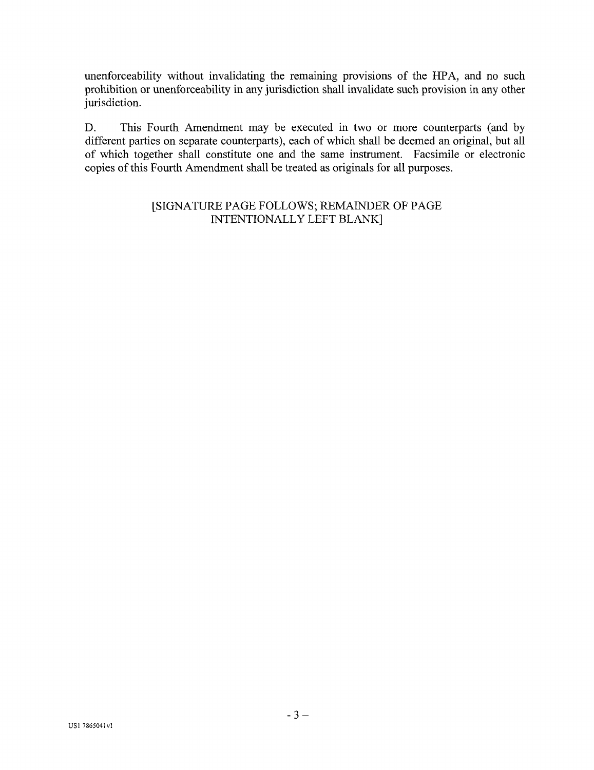unenforceability without invalidating the remaining provisions of the HPA, and no such prohibition or unenforceability in any jurisdiction shall invalidate such provision in any other jurisdiction.

D. This Fourth Amendment may be executed in two or more counterparts (and by different parties on separate counterparts), each of which shall be deemed an original, but all of which together shall constitute one and the same instrument. Facsimile or electronic copies of this Fourth Amendment shall be treated as originals for all purposes.

> [SIGNATURE PAGE FOLLOWS; REMAINDER OF PAGE INTENTIONALLY LEFT BLANK]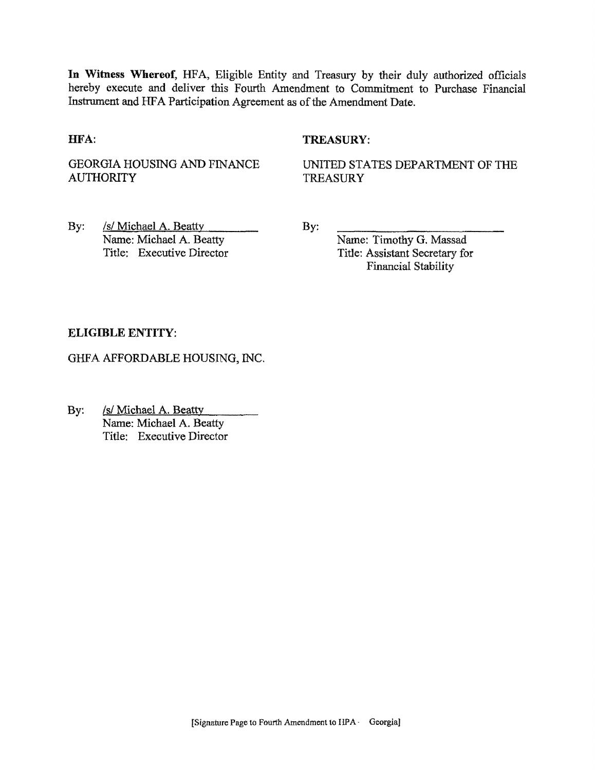In Witness Whereof, HFA, Eligible Entity and Treasury by their duly authorized officials hereby execute and deliver this Fourth Amendment to Commitment to Purchase Financial Instrument and HFA Participation Agreement as of the Amendment Date.

#### HFA:

#### TREASURY:

GEORGIA HOUSING AND FINANCE **AUTHORITY** 

UNITED STATES DEPARTMENT OF THE TREASURY

By: /s/ Michael A, Beatty Name: Michael A. Beatty Title; Executive Director By:

Name: Timothy G. Massad Title: Assistant Secretary for Financial Stability

#### ELIGIBLE ENTITY:

GHFA AFFORDABLE HOUSING, INC.

By: /s/ Michael A. Beatty Name: Michael A. Beatty Title: Executive Director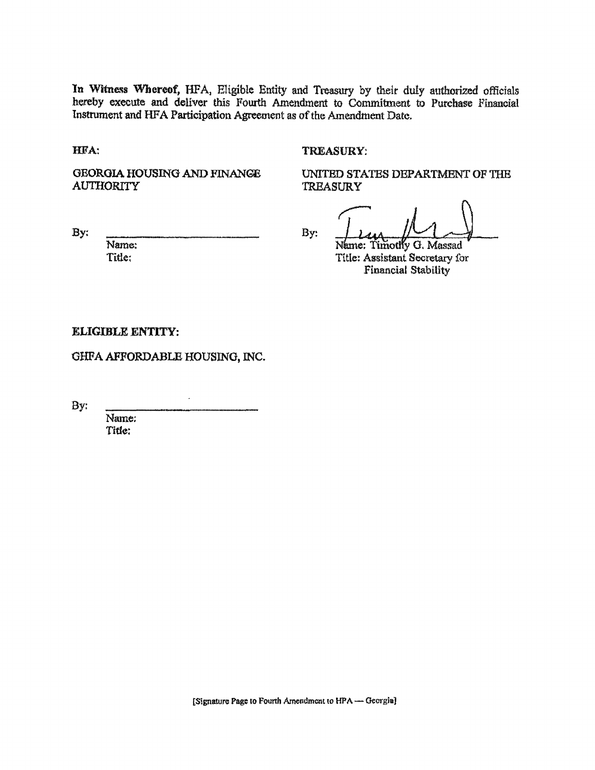In Witness Whereof, HFA, Eligible Entity and Treasury by their duly authorized officials hereby execute and deliver this Fourth Amendment to Commitment to Purchase Financial Instrument and HFA Participation Agreement as of the Amendment Date,

HFA:

#### TREASURY:

GEORGIA HOUSING AND FINANGE **AUTHORITY** 

UNITED STATES DEPARTMENT OF THE **TREASURY** 

By:

By:

Name: Title:

Name: Timothy G. Massad Title; Assistant Secretary for Financial Stability

#### ELIGIBLE ENTITY:

GHFA AFFORDABLE HOUSING, INC.

By:

Name; Title: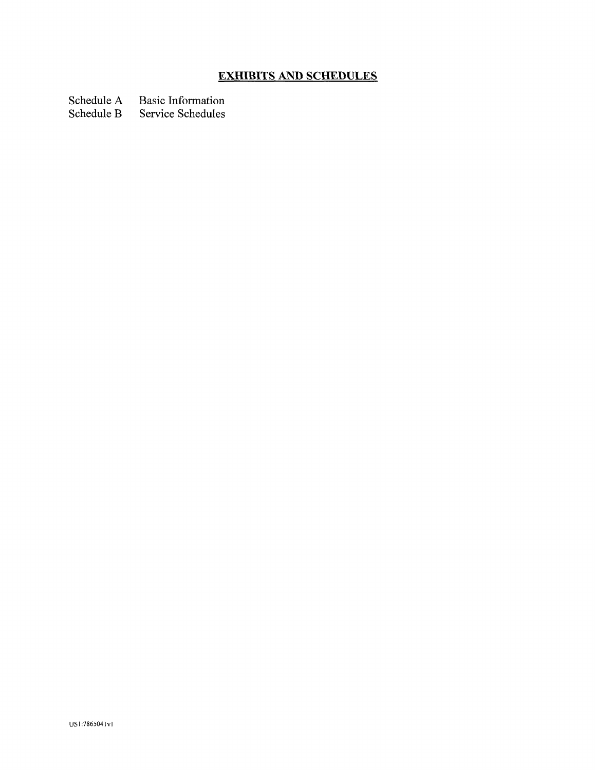# **EXHIBITS AND SCHEDULES**

Schedule A Basic Information<br>Schedule B Service Schedules

Service Schedules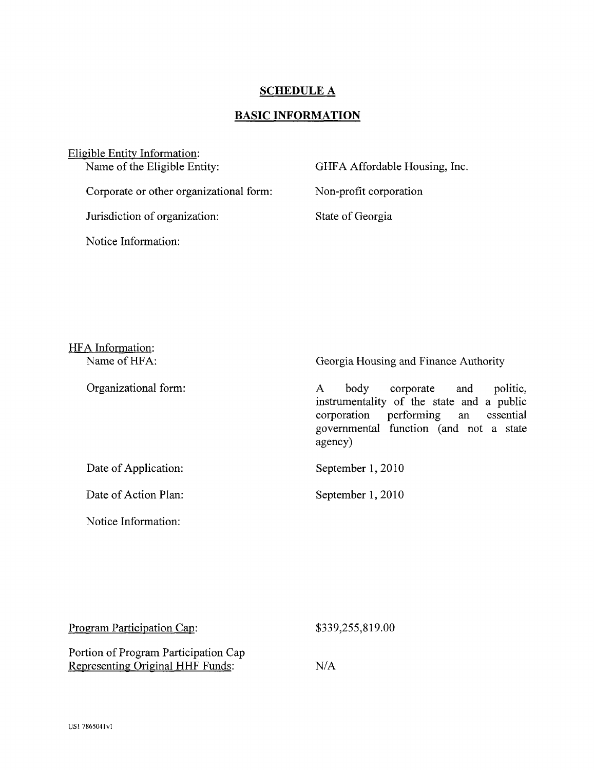# **SCHEDULE A**

# **BASIC INFORMATION**

| Eligible Entity Information:            |                               |
|-----------------------------------------|-------------------------------|
| Name of the Eligible Entity:            | GHFA Affordable Housing, Inc. |
| Corporate or other organizational form: | Non-profit corporation        |
| Jurisdiction of organization:           | State of Georgia              |
| Notice Information:                     |                               |

| HFA Information:<br>Name of HFA: | Georgia Housing and Finance Authority                                                                                                                                                 |
|----------------------------------|---------------------------------------------------------------------------------------------------------------------------------------------------------------------------------------|
| Organizational form:             | politic,<br>body<br>corporate and<br>A<br>instrumentality of the state and a public<br>essential<br>performing an<br>corporation<br>governmental function (and not a state<br>agency) |
| Date of Application:             | September 1, 2010                                                                                                                                                                     |
| Date of Action Plan:             | September 1, 2010                                                                                                                                                                     |
| Notice Information:              |                                                                                                                                                                                       |

| Program Participation Cap:           | \$339,255,819.00 |  |
|--------------------------------------|------------------|--|
| Portion of Program Participation Cap |                  |  |
| Representing Original HHF Funds:     | N/A              |  |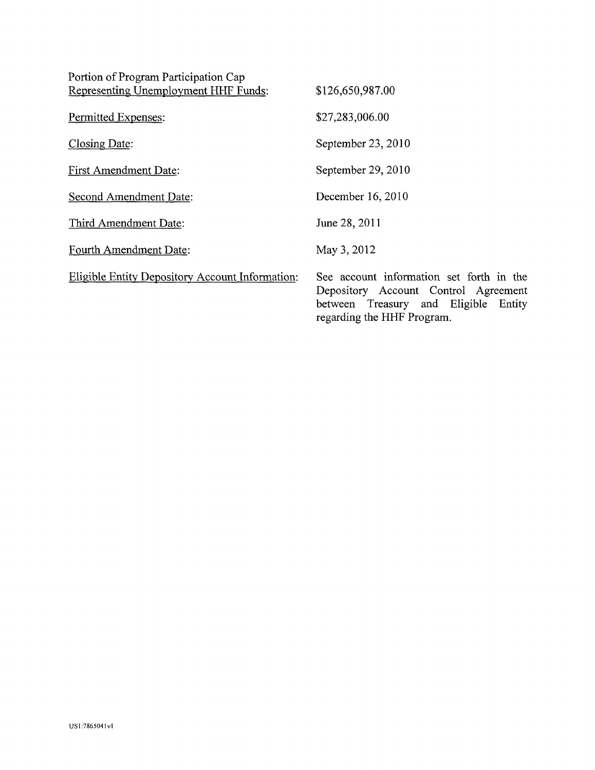| Portion of Program Participation Cap                   |                                                                                                                                                        |
|--------------------------------------------------------|--------------------------------------------------------------------------------------------------------------------------------------------------------|
| Representing Unemployment HHF Funds:                   | \$126,650,987.00                                                                                                                                       |
| Permitted Expenses:                                    | \$27,283,006.00                                                                                                                                        |
| Closing Date:                                          | September 23, 2010                                                                                                                                     |
| <b>First Amendment Date:</b>                           | September 29, 2010                                                                                                                                     |
| <b>Second Amendment Date:</b>                          | December 16, 2010                                                                                                                                      |
| Third Amendment Date:                                  | June 28, 2011                                                                                                                                          |
| <b>Fourth Amendment Date:</b>                          | May 3, 2012                                                                                                                                            |
| <b>Eligible Entity Depository Account Information:</b> | See account information set forth in the<br>Depository Account Control Agreement<br>between Treasury and Eligible Entity<br>regarding the HHF Program. |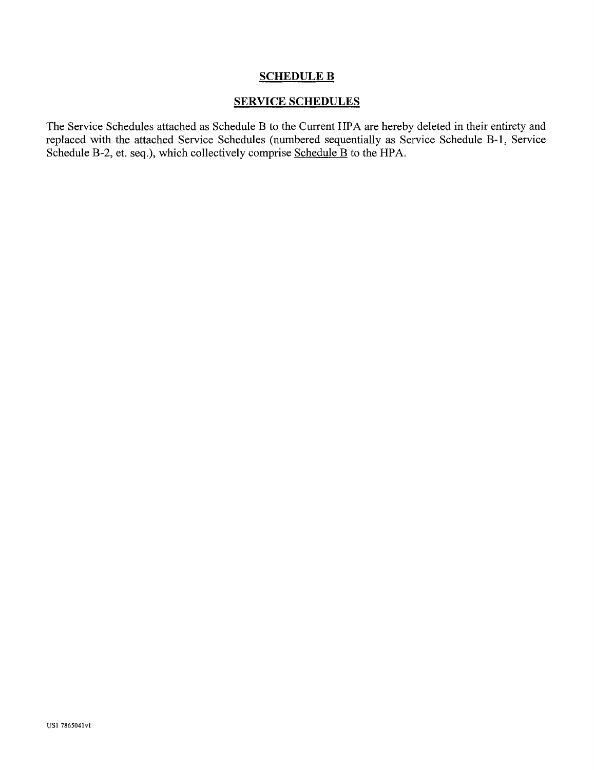### SCHEDULE B

### SERVICE SCHEDULES

The Service Schedules attached as Schedule B to the Current HPA are hereby deleted in their entirety and replaced with the attached Service Schedules (numbered sequentially as Service Schedule B-l, Service Schedule B-2, et. seq.), which collectively comprise Schedule B to the HPA.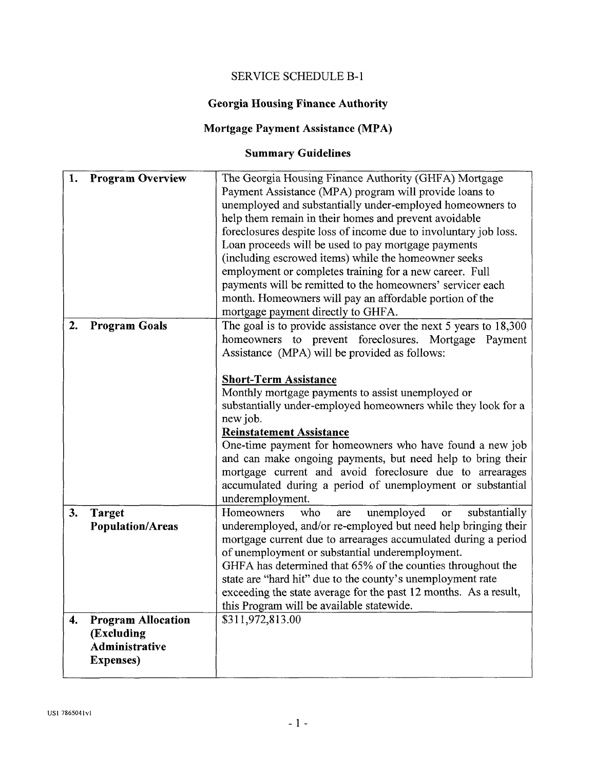## SERVICE SCHEDULE B-l

# **Georgia Housing Finance Authority**

# **Mortgage Payment Assistance (MPA)**

# **Summary Guidelines**

| 1. | <b>Program Overview</b>   | The Georgia Housing Finance Authority (GHFA) Mortgage             |
|----|---------------------------|-------------------------------------------------------------------|
|    |                           | Payment Assistance (MPA) program will provide loans to            |
|    |                           | unemployed and substantially under-employed homeowners to         |
|    |                           | help them remain in their homes and prevent avoidable             |
|    |                           | foreclosures despite loss of income due to involuntary job loss.  |
|    |                           | Loan proceeds will be used to pay mortgage payments               |
|    |                           | (including escrowed items) while the homeowner seeks              |
|    |                           | employment or completes training for a new career. Full           |
|    |                           | payments will be remitted to the homeowners' servicer each        |
|    |                           | month. Homeowners will pay an affordable portion of the           |
|    |                           | mortgage payment directly to GHFA.                                |
| 2. | <b>Program Goals</b>      | The goal is to provide assistance over the next 5 years to 18,300 |
|    |                           | homeowners to prevent foreclosures. Mortgage Payment              |
|    |                           | Assistance (MPA) will be provided as follows:                     |
|    |                           |                                                                   |
|    |                           | <b>Short-Term Assistance</b>                                      |
|    |                           | Monthly mortgage payments to assist unemployed or                 |
|    |                           | substantially under-employed homeowners while they look for a     |
|    |                           | new job.                                                          |
|    |                           | <b>Reinstatement Assistance</b>                                   |
|    |                           | One-time payment for homeowners who have found a new job          |
|    |                           | and can make ongoing payments, but need help to bring their       |
|    |                           | mortgage current and avoid foreclosure due to arrearages          |
|    |                           | accumulated during a period of unemployment or substantial        |
|    |                           | underemployment.                                                  |
| 3. | <b>Target</b>             | Homeowners<br>who<br>unemployed<br>substantially<br>or<br>are     |
|    | <b>Population/Areas</b>   | underemployed, and/or re-employed but need help bringing their    |
|    |                           | mortgage current due to arrearages accumulated during a period    |
|    |                           | of unemployment or substantial underemployment.                   |
|    |                           | GHFA has determined that 65% of the counties throughout the       |
|    |                           | state are "hard hit" due to the county's unemployment rate        |
|    |                           | exceeding the state average for the past 12 months. As a result,  |
|    |                           | this Program will be available statewide.                         |
| 4. | <b>Program Allocation</b> | \$311,972,813.00                                                  |
|    | (Excluding                |                                                                   |
|    | Administrative            |                                                                   |
|    | <b>Expenses</b> )         |                                                                   |
|    |                           |                                                                   |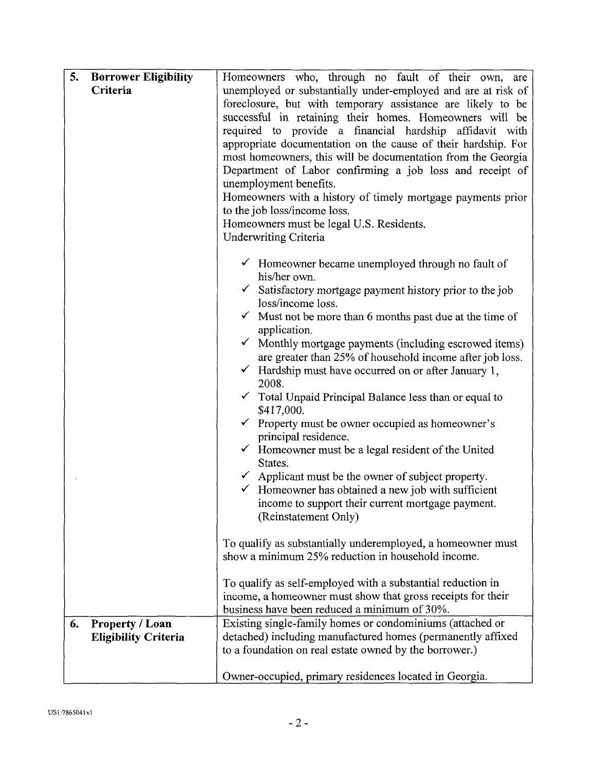| 5. | <b>Borrower Eligibility</b> | Homeowners who, through no fault of their own, are                                       |
|----|-----------------------------|------------------------------------------------------------------------------------------|
|    | Criteria                    | unemployed or substantially under-employed and are at risk of                            |
|    |                             | foreclosure, but with temporary assistance are likely to be                              |
|    |                             | successful in retaining their homes. Homeowners will be                                  |
|    |                             | required to provide a financial hardship affidavit with                                  |
|    |                             | appropriate documentation on the cause of their hardship. For                            |
|    |                             | most homeowners, this will be documentation from the Georgia                             |
|    |                             | Department of Labor confirming a job loss and receipt of                                 |
|    |                             | unemployment benefits.                                                                   |
|    |                             | Homeowners with a history of timely mortgage payments prior                              |
|    |                             | to the job loss/income loss.                                                             |
|    |                             | Homeowners must be legal U.S. Residents.                                                 |
|    |                             | <b>Underwriting Criteria</b>                                                             |
|    |                             | $\checkmark$ Homeowner became unemployed through no fault of<br>his/her own.             |
|    |                             | $\checkmark$ Satisfactory mortgage payment history prior to the job<br>loss/income loss. |
|    |                             | $\checkmark$ Must not be more than 6 months past due at the time of                      |
|    |                             | application.                                                                             |
|    |                             | Monthly mortgage payments (including escrowed items)                                     |
|    |                             | are greater than 25% of household income after job loss.                                 |
|    |                             | $\checkmark$ Hardship must have occurred on or after January 1,<br>2008.                 |
|    |                             | Total Unpaid Principal Balance less than or equal to<br>\$417,000.                       |
|    |                             | Property must be owner occupied as homeowner's<br>principal residence.                   |
|    |                             | Homeowner must be a legal resident of the United<br>States.                              |
|    |                             | $\checkmark$ Applicant must be the owner of subject property.                            |
|    |                             | $\checkmark$ Homeowner has obtained a new job with sufficient                            |
|    |                             | income to support their current mortgage payment.                                        |
|    |                             | (Reinstatement Only)                                                                     |
|    |                             |                                                                                          |
|    |                             | To qualify as substantially underemployed, a homeowner must                              |
|    |                             | show a minimum 25% reduction in household income.                                        |
|    |                             | To qualify as self-employed with a substantial reduction in                              |
|    |                             | income, a homeowner must show that gross receipts for their                              |
|    |                             | business have been reduced a minimum of 30%.                                             |
| 6. | <b>Property / Loan</b>      | Existing single-family homes or condominiums (attached or                                |
|    | <b>Eligibility Criteria</b> | detached) including manufactured homes (permanently affixed                              |
|    |                             | to a foundation on real estate owned by the borrower.)                                   |
|    |                             | Owner-occupied, primary residences located in Georgia.                                   |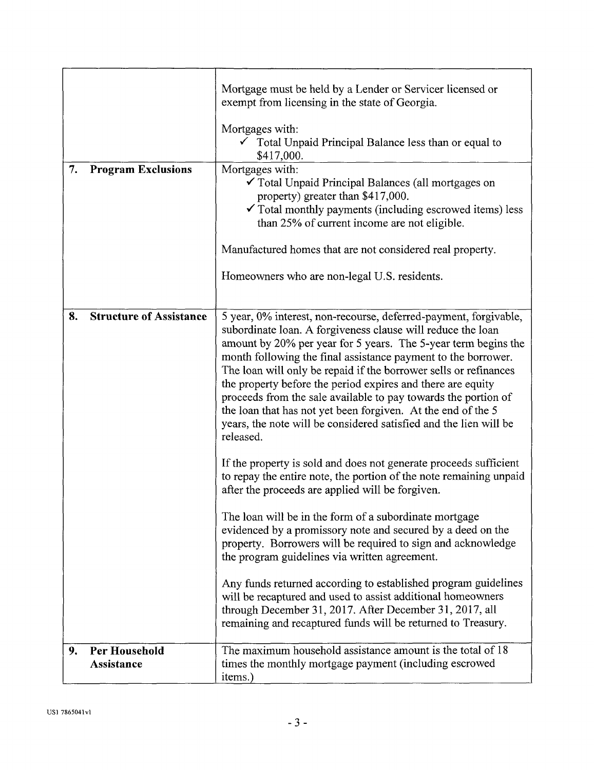|    |                                    | Mortgage must be held by a Lender or Servicer licensed or<br>exempt from licensing in the state of Georgia.<br>Mortgages with:<br>$\checkmark$ Total Unpaid Principal Balance less than or equal to<br>\$417,000.                                                                                                                                                                                                                                                                                                                                                                                                         |
|----|------------------------------------|---------------------------------------------------------------------------------------------------------------------------------------------------------------------------------------------------------------------------------------------------------------------------------------------------------------------------------------------------------------------------------------------------------------------------------------------------------------------------------------------------------------------------------------------------------------------------------------------------------------------------|
| 7. | <b>Program Exclusions</b>          | Mortgages with:<br>✔ Total Unpaid Principal Balances (all mortgages on<br>property) greater than \$417,000.<br>$\checkmark$ Total monthly payments (including escrowed items) less<br>than 25% of current income are not eligible.                                                                                                                                                                                                                                                                                                                                                                                        |
|    |                                    | Manufactured homes that are not considered real property.                                                                                                                                                                                                                                                                                                                                                                                                                                                                                                                                                                 |
|    |                                    | Homeowners who are non-legal U.S. residents.                                                                                                                                                                                                                                                                                                                                                                                                                                                                                                                                                                              |
| 8. | <b>Structure of Assistance</b>     | 5 year, 0% interest, non-recourse, deferred-payment, forgivable,<br>subordinate loan. A forgiveness clause will reduce the loan<br>amount by 20% per year for 5 years. The 5-year term begins the<br>month following the final assistance payment to the borrower.<br>The loan will only be repaid if the borrower sells or refinances<br>the property before the period expires and there are equity<br>proceeds from the sale available to pay towards the portion of<br>the loan that has not yet been forgiven. At the end of the 5<br>years, the note will be considered satisfied and the lien will be<br>released. |
|    |                                    | If the property is sold and does not generate proceeds sufficient<br>to repay the entire note, the portion of the note remaining unpaid<br>after the proceeds are applied will be forgiven.                                                                                                                                                                                                                                                                                                                                                                                                                               |
|    |                                    | The loan will be in the form of a subordinate mortgage<br>evidenced by a promissory note and secured by a deed on the<br>property. Borrowers will be required to sign and acknowledge<br>the program guidelines via written agreement.                                                                                                                                                                                                                                                                                                                                                                                    |
|    |                                    | Any funds returned according to established program guidelines<br>will be recaptured and used to assist additional homeowners<br>through December 31, 2017. After December 31, 2017, all<br>remaining and recaptured funds will be returned to Treasury.                                                                                                                                                                                                                                                                                                                                                                  |
| 9. | Per Household<br><b>Assistance</b> | The maximum household assistance amount is the total of 18<br>times the monthly mortgage payment (including escrowed<br>items.)                                                                                                                                                                                                                                                                                                                                                                                                                                                                                           |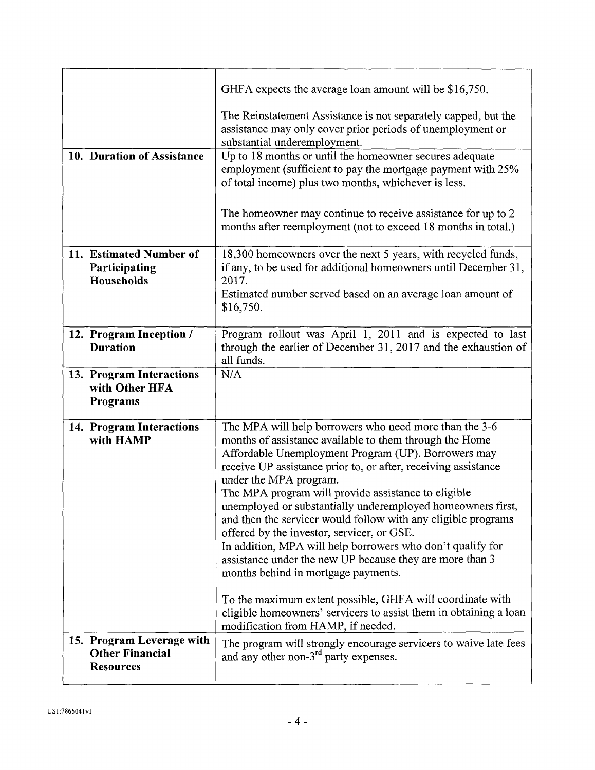|                 |                                                                         | GHFA expects the average loan amount will be \$16,750.                                                                                                                                                                                                                                                                                                                                                                                                                                                                                                                                                                                                                     |
|-----------------|-------------------------------------------------------------------------|----------------------------------------------------------------------------------------------------------------------------------------------------------------------------------------------------------------------------------------------------------------------------------------------------------------------------------------------------------------------------------------------------------------------------------------------------------------------------------------------------------------------------------------------------------------------------------------------------------------------------------------------------------------------------|
|                 |                                                                         | The Reinstatement Assistance is not separately capped, but the<br>assistance may only cover prior periods of unemployment or<br>substantial underemployment.                                                                                                                                                                                                                                                                                                                                                                                                                                                                                                               |
|                 | 10. Duration of Assistance                                              | Up to 18 months or until the homeowner secures adequate<br>employment (sufficient to pay the mortgage payment with 25%<br>of total income) plus two months, whichever is less.                                                                                                                                                                                                                                                                                                                                                                                                                                                                                             |
|                 |                                                                         | The homeowner may continue to receive assistance for up to 2<br>months after reemployment (not to exceed 18 months in total.)                                                                                                                                                                                                                                                                                                                                                                                                                                                                                                                                              |
|                 | 11. Estimated Number of<br>Participating<br>Households                  | 18,300 homeowners over the next 5 years, with recycled funds,<br>if any, to be used for additional homeowners until December 31,<br>2017.                                                                                                                                                                                                                                                                                                                                                                                                                                                                                                                                  |
|                 |                                                                         | Estimated number served based on an average loan amount of<br>\$16,750.                                                                                                                                                                                                                                                                                                                                                                                                                                                                                                                                                                                                    |
| <b>Duration</b> | 12. Program Inception /                                                 | Program rollout was April 1, 2011 and is expected to last<br>through the earlier of December 31, 2017 and the exhaustion of<br>all funds.                                                                                                                                                                                                                                                                                                                                                                                                                                                                                                                                  |
| <b>Programs</b> | 13. Program Interactions<br>with Other HFA                              | N/A                                                                                                                                                                                                                                                                                                                                                                                                                                                                                                                                                                                                                                                                        |
|                 | 14. Program Interactions<br>with HAMP                                   | The MPA will help borrowers who need more than the 3-6<br>months of assistance available to them through the Home<br>Affordable Unemployment Program (UP). Borrowers may<br>receive UP assistance prior to, or after, receiving assistance<br>under the MPA program.<br>The MPA program will provide assistance to eligible<br>unemployed or substantially underemployed homeowners first,<br>and then the servicer would follow with any eligible programs<br>offered by the investor, servicer, or GSE.<br>In addition, MPA will help borrowers who don't qualify for<br>assistance under the new UP because they are more than 3<br>months behind in mortgage payments. |
|                 |                                                                         | To the maximum extent possible, GHFA will coordinate with<br>eligible homeowners' servicers to assist them in obtaining a loan<br>modification from HAMP, if needed.                                                                                                                                                                                                                                                                                                                                                                                                                                                                                                       |
|                 | 15. Program Leverage with<br><b>Other Financial</b><br><b>Resources</b> | The program will strongly encourage servicers to waive late fees<br>and any other non-3 <sup>rd</sup> party expenses.                                                                                                                                                                                                                                                                                                                                                                                                                                                                                                                                                      |